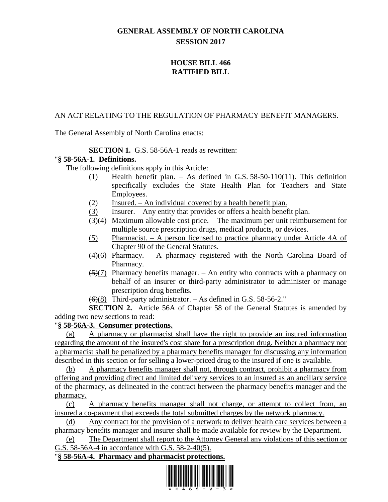# **GENERAL ASSEMBLY OF NORTH CAROLINA SESSION 2017**

## **HOUSE BILL 466 RATIFIED BILL**

### AN ACT RELATING TO THE REGULATION OF PHARMACY BENEFIT MANAGERS.

The General Assembly of North Carolina enacts:

## **SECTION 1.** G.S. 58-56A-1 reads as rewritten:

#### "**§ 58-56A-1. Definitions.**

The following definitions apply in this Article:

- (1) Health benefit plan. As defined in G.S. 58-50-110(11). This definition specifically excludes the State Health Plan for Teachers and State Employees.
- (2) Insured.  $-$  An individual covered by a health benefit plan.
- (3) Insurer. Any entity that provides or offers a health benefit plan.
- $\left(\frac{3}{4}\right)$  Maximum allowable cost price. The maximum per unit reimbursement for multiple source prescription drugs, medical products, or devices.
- (5) Pharmacist. A person licensed to practice pharmacy under Article 4A of Chapter 90 of the General Statutes.
- $(4)(6)$  Pharmacy. A pharmacy registered with the North Carolina Board of Pharmacy.
- $(5)(7)$  Pharmacy benefits manager. An entity who contracts with a pharmacy on behalf of an insurer or third-party administrator to administer or manage prescription drug benefits.
- $(6)(8)$  Third-party administrator. As defined in G.S. 58-56-2."

**SECTION 2.** Article 56A of Chapter 58 of the General Statutes is amended by adding two new sections to read:

#### "**§ 58-56A-3. Consumer protections.**

(a) A pharmacy or pharmacist shall have the right to provide an insured information regarding the amount of the insured's cost share for a prescription drug. Neither a pharmacy nor a pharmacist shall be penalized by a pharmacy benefits manager for discussing any information described in this section or for selling a lower-priced drug to the insured if one is available.

(b) A pharmacy benefits manager shall not, through contract, prohibit a pharmacy from offering and providing direct and limited delivery services to an insured as an ancillary service of the pharmacy, as delineated in the contract between the pharmacy benefits manager and the pharmacy.

(c) A pharmacy benefits manager shall not charge, or attempt to collect from, an insured a co-payment that exceeds the total submitted charges by the network pharmacy.

(d) Any contract for the provision of a network to deliver health care services between a pharmacy benefits manager and insurer shall be made available for review by the Department.

(e) The Department shall report to the Attorney General any violations of this section or G.S. 58-56A-4 in accordance with G.S. 58-2-40(5).

#### "**§ 58-56A-4. Pharmacy and pharmacist protections.**